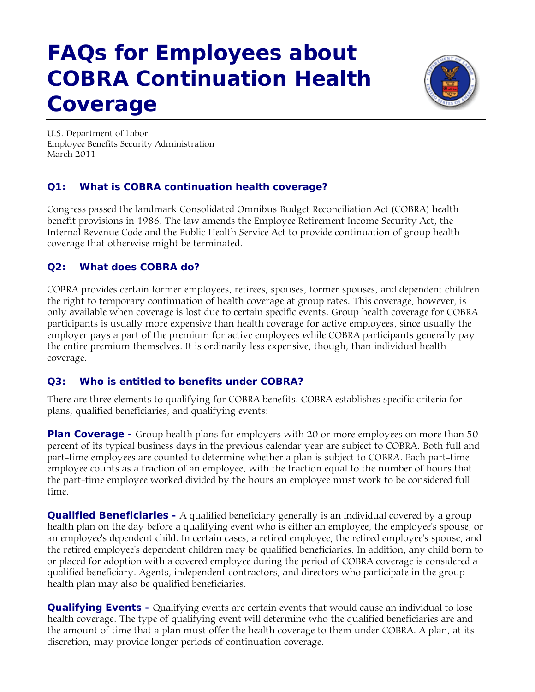# **FAQs for Employees about COBRA Continuation Health Coverage**



U.S. Department of Labor Employee Benefits Security Administration March 2011

# **Q1: What is COBRA continuation health coverage?**

Congress passed the landmark Consolidated Omnibus Budget Reconciliation Act (COBRA) health benefit provisions in 1986. The law amends the Employee Retirement Income Security Act, the Internal Revenue Code and the Public Health Service Act to provide continuation of group health coverage that otherwise might be terminated.

# **Q2: What does COBRA do?**

COBRA provides certain former employees, retirees, spouses, former spouses, and dependent children the right to temporary continuation of health coverage at group rates. This coverage, however, is only available when coverage is lost due to certain specific events. Group health coverage for COBRA participants is usually more expensive than health coverage for active employees, since usually the employer pays a part of the premium for active employees while COBRA participants generally pay the entire premium themselves. It is ordinarily less expensive, though, than individual health coverage.

# **Q3: Who is entitled to benefits under COBRA?**

There are three elements to qualifying for COBRA benefits. COBRA establishes specific criteria for plans, qualified beneficiaries, and qualifying events:

**Plan Coverage -** Group health plans for employers with 20 or more employees on more than 50 percent of its typical business days in the previous calendar year are subject to COBRA. Both full and part-time employees are counted to determine whether a plan is subject to COBRA. Each part-time employee counts as a fraction of an employee, with the fraction equal to the number of hours that the part-time employee worked divided by the hours an employee must work to be considered full time.

**Qualified Beneficiaries -** A qualified beneficiary generally is an individual covered by a group health plan on the day before a qualifying event who is either an employee, the employee's spouse, or an employee's dependent child. In certain cases, a retired employee, the retired employee's spouse, and the retired employee's dependent children may be qualified beneficiaries. In addition, any child born to or placed for adoption with a covered employee during the period of COBRA coverage is considered a qualified beneficiary. Agents, independent contractors, and directors who participate in the group health plan may also be qualified beneficiaries.

**Qualifying Events -** Qualifying events are certain events that would cause an individual to lose health coverage. The type of qualifying event will determine who the qualified beneficiaries are and the amount of time that a plan must offer the health coverage to them under COBRA. A plan, at its discretion, may provide longer periods of continuation coverage.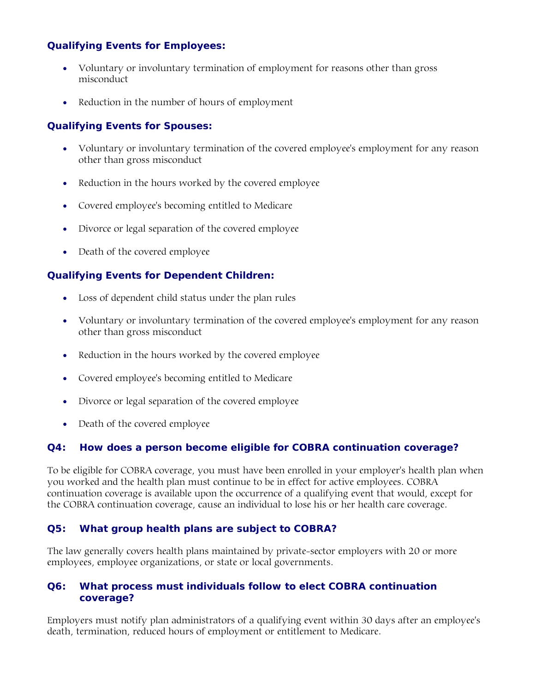## **Qualifying Events for Employees:**

- Voluntary or involuntary termination of employment for reasons other than gross misconduct
- Reduction in the number of hours of employment

## **Qualifying Events for Spouses:**

- Voluntary or involuntary termination of the covered employee's employment for any reason other than gross misconduct
- Reduction in the hours worked by the covered employee
- Covered employee's becoming entitled to Medicare
- Divorce or legal separation of the covered employee
- Death of the covered employee

#### **Qualifying Events for Dependent Children:**

- Loss of dependent child status under the plan rules
- Voluntary or involuntary termination of the covered employee's employment for any reason other than gross misconduct
- Reduction in the hours worked by the covered employee
- Covered employee's becoming entitled to Medicare
- Divorce or legal separation of the covered employee
- Death of the covered employee

## **Q4: How does a person become eligible for COBRA continuation coverage?**

To be eligible for COBRA coverage, you must have been enrolled in your employer's health plan when you worked and the health plan must continue to be in effect for active employees. COBRA continuation coverage is available upon the occurrence of a qualifying event that would, except for the COBRA continuation coverage, cause an individual to lose his or her health care coverage.

## **Q5: What group health plans are subject to COBRA?**

The law generally covers health plans maintained by private-sector employers with 20 or more employees, employee organizations, or state or local governments.

#### **Q6: What process must individuals follow to elect COBRA continuation coverage?**

Employers must notify plan administrators of a qualifying event within 30 days after an employee's death, termination, reduced hours of employment or entitlement to Medicare.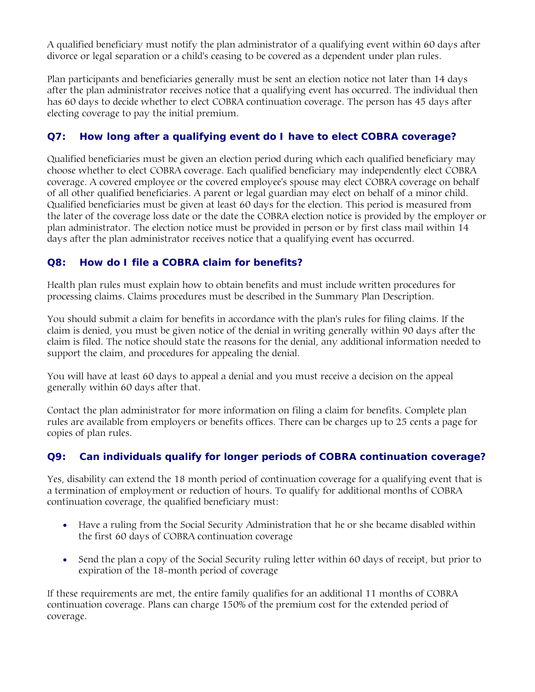A qualified beneficiary must notify the plan administrator of a qualifying event within 60 days after divorce or legal separation or a child's ceasing to be covered as a dependent under plan rules.

Plan participants and beneficiaries generally must be sent an election notice not later than 14 days after the plan administrator receives notice that a qualifying event has occurred. The individual then has 60 days to decide whether to elect COBRA continuation coverage. The person has 45 days after electing coverage to pay the initial premium.

## **Q7: How long after a qualifying event do I have to elect COBRA coverage?**

Qualified beneficiaries must be given an election period during which each qualified beneficiary may choose whether to elect COBRA coverage. Each qualified beneficiary may independently elect COBRA coverage. A covered employee or the covered employee's spouse may elect COBRA coverage on behalf of all other qualified beneficiaries. A parent or legal guardian may elect on behalf of a minor child. Qualified beneficiaries must be given at least 60 days for the election. This period is measured from the later of the coverage loss date or the date the COBRA election notice is provided by the employer or plan administrator. The election notice must be provided in person or by first class mail within 14 days after the plan administrator receives notice that a qualifying event has occurred.

## **Q8: How do I file a COBRA claim for benefits?**

Health plan rules must explain how to obtain benefits and must include written procedures for processing claims. Claims procedures must be described in the Summary Plan Description.

You should submit a claim for benefits in accordance with the plan's rules for filing claims. If the claim is denied, you must be given notice of the denial in writing generally within 90 days after the claim is filed. The notice should state the reasons for the denial, any additional information needed to support the claim, and procedures for appealing the denial.

You will have at least 60 days to appeal a denial and you must receive a decision on the appeal generally within 60 days after that.

Contact the plan administrator for more information on filing a claim for benefits. Complete plan rules are available from employers or benefits offices. There can be charges up to 25 cents a page for copies of plan rules.

# **Q9: Can individuals qualify for longer periods of COBRA continuation coverage?**

Yes, disability can extend the 18 month period of continuation coverage for a qualifying event that is a termination of employment or reduction of hours. To qualify for additional months of COBRA continuation coverage, the qualified beneficiary must:

- Have a ruling from the Social Security Administration that he or she became disabled within the first 60 days of COBRA continuation coverage
- Send the plan a copy of the Social Security ruling letter within 60 days of receipt, but prior to expiration of the 18-month period of coverage

If these requirements are met, the entire family qualifies for an additional 11 months of COBRA continuation coverage. Plans can charge 150% of the premium cost for the extended period of coverage.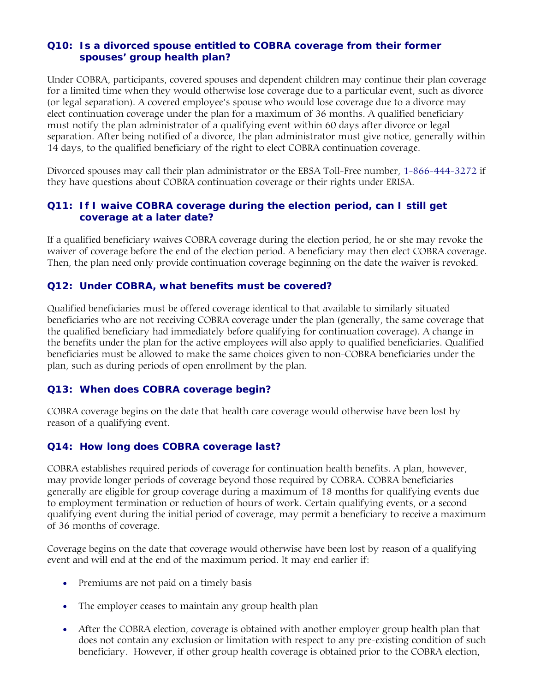#### **Q10: Is a divorced spouse entitled to COBRA coverage from their former spouses' group health plan?**

Under COBRA, participants, covered spouses and dependent children may continue their plan coverage for a limited time when they would otherwise lose coverage due to a particular event, such as divorce (or legal separation). A covered employee's spouse who would lose coverage due to a divorce may elect continuation coverage under the plan for a maximum of 36 months. A qualified beneficiary must notify the plan administrator of a qualifying event within 60 days after divorce or legal separation. After being notified of a divorce, the plan administrator must give notice, generally within 14 days, to the qualified beneficiary of the right to elect COBRA continuation coverage.

Divorced spouses may call their plan administrator or the EBSA Toll-Free number, 1-866-444-3272 if they have questions about COBRA continuation coverage or their rights under ERISA.

## **Q11: If I waive COBRA coverage during the election period, can I still get coverage at a later date?**

If a qualified beneficiary waives COBRA coverage during the election period, he or she may revoke the waiver of coverage before the end of the election period. A beneficiary may then elect COBRA coverage. Then, the plan need only provide continuation coverage beginning on the date the waiver is revoked.

#### **Q12: Under COBRA, what benefits must be covered?**

Qualified beneficiaries must be offered coverage identical to that available to similarly situated beneficiaries who are not receiving COBRA coverage under the plan (generally, the same coverage that the qualified beneficiary had immediately before qualifying for continuation coverage). A change in the benefits under the plan for the active employees will also apply to qualified beneficiaries. Qualified beneficiaries must be allowed to make the same choices given to non-COBRA beneficiaries under the plan, such as during periods of open enrollment by the plan.

#### **Q13: When does COBRA coverage begin?**

COBRA coverage begins on the date that health care coverage would otherwise have been lost by reason of a qualifying event.

## **Q14: How long does COBRA coverage last?**

COBRA establishes required periods of coverage for continuation health benefits. A plan, however, may provide longer periods of coverage beyond those required by COBRA. COBRA beneficiaries generally are eligible for group coverage during a maximum of 18 months for qualifying events due to employment termination or reduction of hours of work. Certain qualifying events, or a second qualifying event during the initial period of coverage, may permit a beneficiary to receive a maximum of 36 months of coverage.

Coverage begins on the date that coverage would otherwise have been lost by reason of a qualifying event and will end at the end of the maximum period. It may end earlier if:

- Premiums are not paid on a timely basis
- The employer ceases to maintain any group health plan
- After the COBRA election, coverage is obtained with another employer group health plan that does not contain any exclusion or limitation with respect to any pre-existing condition of such beneficiary. However, if other group health coverage is obtained prior to the COBRA election,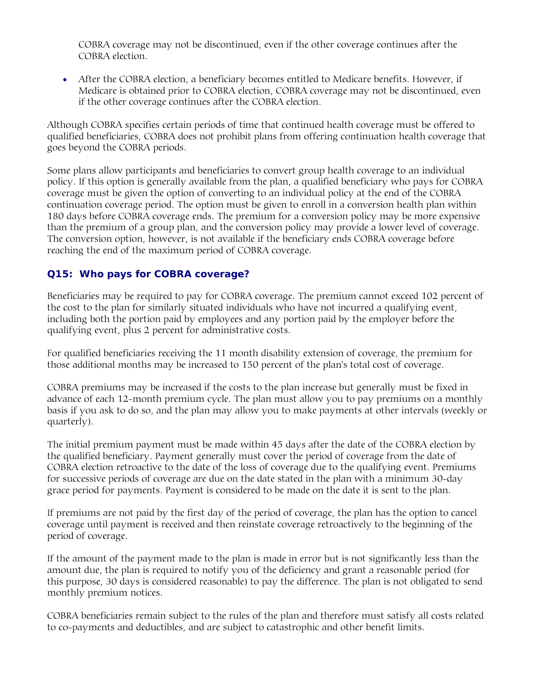COBRA coverage may not be discontinued, even if the other coverage continues after the COBRA election.

 After the COBRA election, a beneficiary becomes entitled to Medicare benefits. However, if Medicare is obtained prior to COBRA election, COBRA coverage may not be discontinued, even if the other coverage continues after the COBRA election.

Although COBRA specifies certain periods of time that continued health coverage must be offered to qualified beneficiaries, COBRA does not prohibit plans from offering continuation health coverage that goes beyond the COBRA periods.

Some plans allow participants and beneficiaries to convert group health coverage to an individual policy. If this option is generally available from the plan, a qualified beneficiary who pays for COBRA coverage must be given the option of converting to an individual policy at the end of the COBRA continuation coverage period. The option must be given to enroll in a conversion health plan within 180 days before COBRA coverage ends. The premium for a conversion policy may be more expensive than the premium of a group plan, and the conversion policy may provide a lower level of coverage. The conversion option, however, is not available if the beneficiary ends COBRA coverage before reaching the end of the maximum period of COBRA coverage.

#### **Q15: Who pays for COBRA coverage?**

Beneficiaries may be required to pay for COBRA coverage. The premium cannot exceed 102 percent of the cost to the plan for similarly situated individuals who have not incurred a qualifying event, including both the portion paid by employees and any portion paid by the employer before the qualifying event, plus 2 percent for administrative costs.

For qualified beneficiaries receiving the 11 month disability extension of coverage, the premium for those additional months may be increased to 150 percent of the plan's total cost of coverage.

COBRA premiums may be increased if the costs to the plan increase but generally must be fixed in advance of each 12-month premium cycle. The plan must allow you to pay premiums on a monthly basis if you ask to do so, and the plan may allow you to make payments at other intervals (weekly or quarterly).

The initial premium payment must be made within 45 days after the date of the COBRA election by the qualified beneficiary. Payment generally must cover the period of coverage from the date of COBRA election retroactive to the date of the loss of coverage due to the qualifying event. Premiums for successive periods of coverage are due on the date stated in the plan with a minimum 30-day grace period for payments. Payment is considered to be made on the date it is sent to the plan.

If premiums are not paid by the first day of the period of coverage, the plan has the option to cancel coverage until payment is received and then reinstate coverage retroactively to the beginning of the period of coverage.

If the amount of the payment made to the plan is made in error but is not significantly less than the amount due, the plan is required to notify you of the deficiency and grant a reasonable period (for this purpose, 30 days is considered reasonable) to pay the difference. The plan is not obligated to send monthly premium notices.

COBRA beneficiaries remain subject to the rules of the plan and therefore must satisfy all costs related to co-payments and deductibles, and are subject to catastrophic and other benefit limits.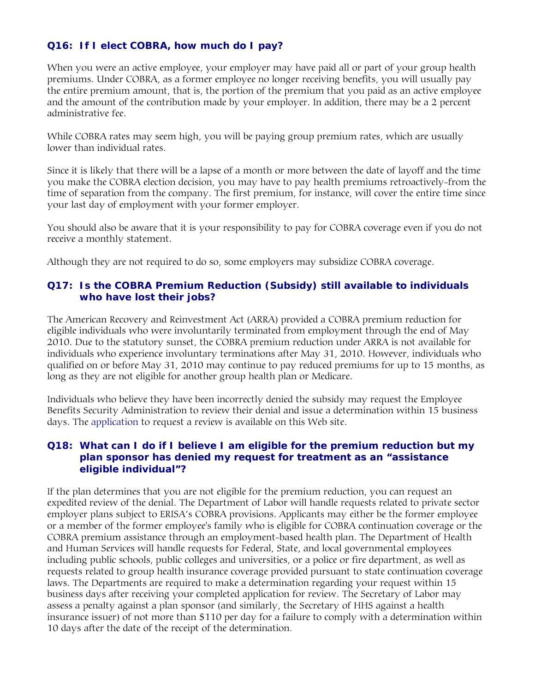## **Q16: If I elect COBRA, how much do I pay?**

When you were an active employee, your employer may have paid all or part of your group health premiums. Under COBRA, as a former employee no longer receiving benefits, you will usually pay the entire premium amount, that is, the portion of the premium that you paid as an active employee and the amount of the contribution made by your employer. In addition, there may be a 2 percent administrative fee.

While COBRA rates may seem high, you will be paying group premium rates, which are usually lower than individual rates.

Since it is likely that there will be a lapse of a month or more between the date of layoff and the time you make the COBRA election decision, you may have to pay health premiums retroactively-from the time of separation from the company. The first premium, for instance, will cover the entire time since your last day of employment with your former employer.

You should also be aware that it is your responsibility to pay for COBRA coverage even if you do not receive a monthly statement.

Although they are not required to do so, some employers may subsidize COBRA coverage.

## **Q17: Is the COBRA Premium Reduction (Subsidy) still available to individuals who have lost their jobs?**

The American Recovery and Reinvestment Act (ARRA) provided a COBRA premium reduction for eligible individuals who were involuntarily terminated from employment through the end of May 2010. Due to the statutory sunset, the COBRA premium reduction under ARRA is not available for individuals who experience involuntary terminations after May 31, 2010. However, individuals who qualified on or before May 31, 2010 may continue to pay reduced premiums for up to 15 months, as long as they are not eligible for another group health plan or Medicare.

Individuals who believe they have been incorrectly denied the subsidy may request the Employee Benefits Security Administration to review their denial and issue a determination within 15 business days. The application to request a review is available on this Web site.

#### **Q18: What can I do if I believe I am eligible for the premium reduction but my plan sponsor has denied my request for treatment as an "assistance eligible individual"?**

If the plan determines that you are not eligible for the premium reduction, you can request an expedited review of the denial. The Department of Labor will handle requests related to private sector employer plans subject to ERISA's COBRA provisions. Applicants may either be the former employee or a member of the former employee's family who is eligible for COBRA continuation coverage or the COBRA premium assistance through an employment-based health plan. The Department of Health and Human Services will handle requests for Federal, State, and local governmental employees including public schools, public colleges and universities, or a police or fire department, as well as requests related to group health insurance coverage provided pursuant to state continuation coverage laws. The Departments are required to make a determination regarding your request within 15 business days after receiving your completed application for review. The Secretary of Labor may assess a penalty against a plan sponsor (and similarly, the Secretary of HHS against a health insurance issuer) of not more than \$110 per day for a failure to comply with a determination within 10 days after the date of the receipt of the determination.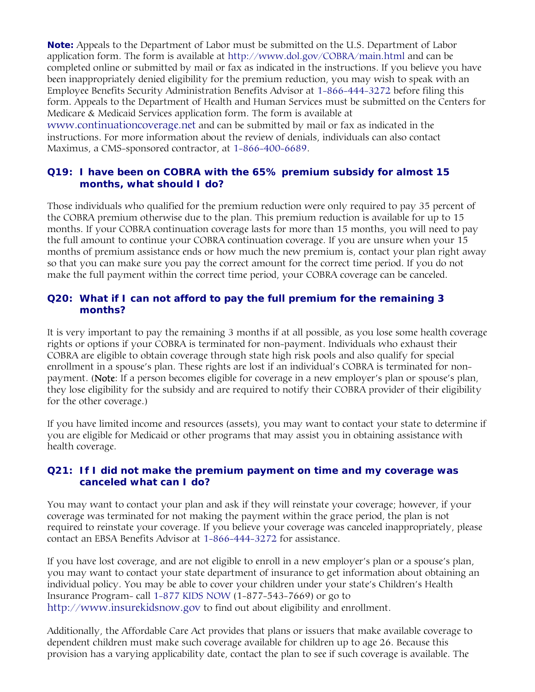**Note:** Appeals to the Department of Labor must be submitted on the U.S. Department of Labor application form. The form is available at http://www.dol.gov/COBRA/main.html and can be completed online or submitted by mail or fax as indicated in the instructions. If you believe you have been inappropriately denied eligibility for the premium reduction, you may wish to speak with an Employee Benefits Security Administration Benefits Advisor at 1-866-444-3272 before filing this form. Appeals to the Department of Health and Human Services must be submitted on the Centers for Medicare & Medicaid Services application form. The form is available at

www.continuationcoverage.net and can be submitted by mail or fax as indicated in the instructions. For more information about the review of denials, individuals can also contact Maximus, a CMS-sponsored contractor, at 1-866-400-6689.

#### **Q19: I have been on COBRA with the 65% premium subsidy for almost 15 months, what should I do?**

Those individuals who qualified for the premium reduction were only required to pay 35 percent of the COBRA premium otherwise due to the plan. This premium reduction is available for up to 15 months. If your COBRA continuation coverage lasts for more than 15 months, you will need to pay the full amount to continue your COBRA continuation coverage. If you are unsure when your 15 months of premium assistance ends or how much the new premium is, contact your plan right away so that you can make sure you pay the correct amount for the correct time period. If you do not make the full payment within the correct time period, your COBRA coverage can be canceled.

## **Q20: What if I can not afford to pay the full premium for the remaining 3 months?**

It is very important to pay the remaining 3 months if at all possible, as you lose some health coverage rights or options if your COBRA is terminated for non-payment. Individuals who exhaust their COBRA are eligible to obtain coverage through state high risk pools and also qualify for special enrollment in a spouse's plan. These rights are lost if an individual's COBRA is terminated for nonpayment. (Note: If a person becomes eligible for coverage in a new employer's plan or spouse's plan, they lose eligibility for the subsidy and are required to notify their COBRA provider of their eligibility for the other coverage.)

If you have limited income and resources (assets), you may want to contact your state to determine if you are eligible for Medicaid or other programs that may assist you in obtaining assistance with health coverage.

#### **Q21: If I did not make the premium payment on time and my coverage was canceled what can I do?**

You may want to contact your plan and ask if they will reinstate your coverage; however, if your coverage was terminated for not making the payment within the grace period, the plan is not required to reinstate your coverage. If you believe your coverage was canceled inappropriately, please contact an EBSA Benefits Advisor at 1-866-444-3272 for assistance.

If you have lost coverage, and are not eligible to enroll in a new employer's plan or a spouse's plan, you may want to contact your state department of insurance to get information about obtaining an individual policy. You may be able to cover your children under your state's Children's Health Insurance Program- call 1-877 KIDS NOW (1-877-543-7669) or go to http://www.insurekidsnow.gov to find out about eligibility and enrollment.

Additionally, the Affordable Care Act provides that plans or issuers that make available coverage to dependent children must make such coverage available for children up to age 26. Because this provision has a varying applicability date, contact the plan to see if such coverage is available. The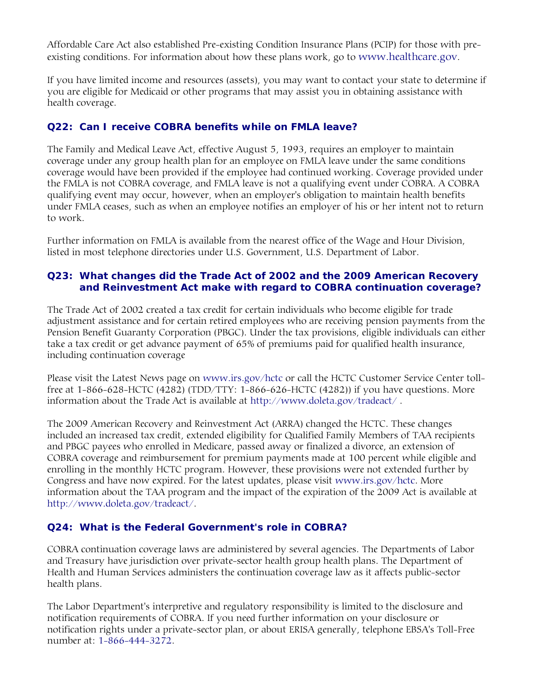Affordable Care Act also established Pre-existing Condition Insurance Plans (PCIP) for those with preexisting conditions. For information about how these plans work, go to www.healthcare.gov.

If you have limited income and resources (assets), you may want to contact your state to determine if you are eligible for Medicaid or other programs that may assist you in obtaining assistance with health coverage.

## **Q22: Can I receive COBRA benefits while on FMLA leave?**

The Family and Medical Leave Act, effective August 5, 1993, requires an employer to maintain coverage under any group health plan for an employee on FMLA leave under the same conditions coverage would have been provided if the employee had continued working. Coverage provided under the FMLA is not COBRA coverage, and FMLA leave is not a qualifying event under COBRA. A COBRA qualifying event may occur, however, when an employer's obligation to maintain health benefits under FMLA ceases, such as when an employee notifies an employer of his or her intent not to return to work.

Further information on FMLA is available from the nearest office of the Wage and Hour Division, listed in most telephone directories under U.S. Government, U.S. Department of Labor.

## **Q23: What changes did the Trade Act of 2002 and the 2009 American Recovery and Reinvestment Act make with regard to COBRA continuation coverage?**

The Trade Act of 2002 created a tax credit for certain individuals who become eligible for trade adjustment assistance and for certain retired employees who are receiving pension payments from the Pension Benefit Guaranty Corporation (PBGC). Under the tax provisions, eligible individuals can either take a tax credit or get advance payment of 65% of premiums paid for qualified health insurance, including continuation coverage

Please visit the Latest News page on www.irs.gov/hctc or call the HCTC Customer Service Center tollfree at 1-866-628-HCTC (4282) (TDD/TTY: 1-866-626-HCTC (4282)) if you have questions. More information about the Trade Act is available at http://www.doleta.gov/tradeact/ .

The 2009 American Recovery and Reinvestment Act (ARRA) changed the HCTC. These changes included an increased tax credit, extended eligibility for Qualified Family Members of TAA recipients and PBGC payees who enrolled in Medicare, passed away or finalized a divorce, an extension of COBRA coverage and reimbursement for premium payments made at 100 percent while eligible and enrolling in the monthly HCTC program. However, these provisions were not extended further by Congress and have now expired. For the latest updates, please visit www.irs.gov/hctc. More information about the TAA program and the impact of the expiration of the 2009 Act is available at http://www.doleta.gov/tradeact/.

## **Q24: What is the Federal Government's role in COBRA?**

COBRA continuation coverage laws are administered by several agencies. The Departments of Labor and Treasury have jurisdiction over private-sector health group health plans. The Department of Health and Human Services administers the continuation coverage law as it affects public-sector health plans.

The Labor Department's interpretive and regulatory responsibility is limited to the disclosure and notification requirements of COBRA. If you need further information on your disclosure or notification rights under a private-sector plan, or about ERISA generally, telephone EBSA's Toll-Free number at: 1-866-444-3272.